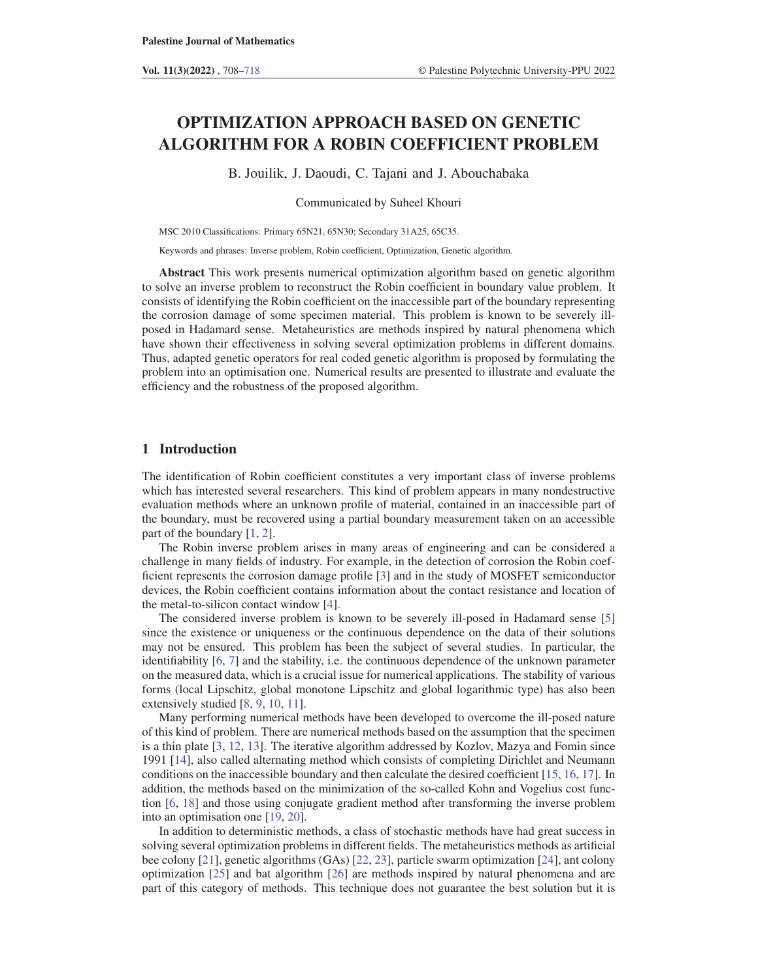# OPTIMIZATION APPROACH BASED ON GENETIC ALGORITHM FOR A ROBIN COEFFICIENT PROBLEM

B. Jouilik, J. Daoudi, C. Tajani and J. Abouchabaka

Communicated by Suheel Khouri

MSC 2010 Classifications: Primary 65N21, 65N30; Secondary 31A25, 65C35.

Keywords and phrases: Inverse problem, Robin coefficient, Optimization, Genetic algorithm.

Abstract This work presents numerical optimization algorithm based on genetic algorithm to solve an inverse problem to reconstruct the Robin coefficient in boundary value problem. It consists of identifying the Robin coefficient on the inaccessible part of the boundary representing the corrosion damage of some specimen material. This problem is known to be severely illposed in Hadamard sense. Metaheuristics are methods inspired by natural phenomena which have shown their effectiveness in solving several optimization problems in different domains. Thus, adapted genetic operators for real coded genetic algorithm is proposed by formulating the problem into an optimisation one. Numerical results are presented to illustrate and evaluate the efficiency and the robustness of the proposed algorithm.

# 1 Introduction

The identification of Robin coefficient constitutes a very important class of inverse problems which has interested several researchers. This kind of problem appears in many nondestructive evaluation methods where an unknown profile of material, contained in an inaccessible part of the boundary, must be recovered using a partial boundary measurement taken on an accessible part of the boundary [1, 2].

The Robin inverse problem arises in many areas of engineering and can be considered a challenge in many fields of industry. For example, in the detection of corrosion the Robin coefficient represents the corrosion damage profile [3] and in the study of MOSFET semiconductor devices, the Robin coefficient contains information about the contact resistance and location of the metal-to-silicon contact window [4].

The considered inverse problem is known to be severely ill-posed in Hadamard sense [5] since the existence or uniqueness or the continuous dependence on the data of their solutions may not be ensured. This problem has been the subject of several studies. In particular, the identifiability [6, 7] and the stability, i.e. the continuous dependence of the unknown parameter on the measured data, which is a crucial issue for numerical applications. The stability of various forms (local Lipschitz, global monotone Lipschitz and global logarithmic type) has also been extensively studied [8, 9, 10, 11].

Many performing numerical methods have been developed to overcome the ill-posed nature of this kind of problem. There are numerical methods based on the assumption that the specimen is a thin plate [3, 12, 13]. The iterative algorithm addressed by Kozlov, Mazya and Fomin since 1991 [14], also called alternating method which consists of completing Dirichlet and Neumann conditions on the inaccessible boundary and then calculate the desired coefficient [15, 16, 17]. In addition, the methods based on the minimization of the so-called Kohn and Vogelius cost function [6, 18] and those using conjugate gradient method after transforming the inverse problem into an optimisation one [19, 20].

In addition to deterministic methods, a class of stochastic methods have had great success in solving several optimization problems in different fields. The metaheuristics methods as artificial bee colony [21], genetic algorithms (GAs) [22, 23], particle swarm optimization [24], ant colony optimization [25] and bat algorithm [26] are methods inspired by natural phenomena and are part of this category of methods. This technique does not guarantee the best solution but it is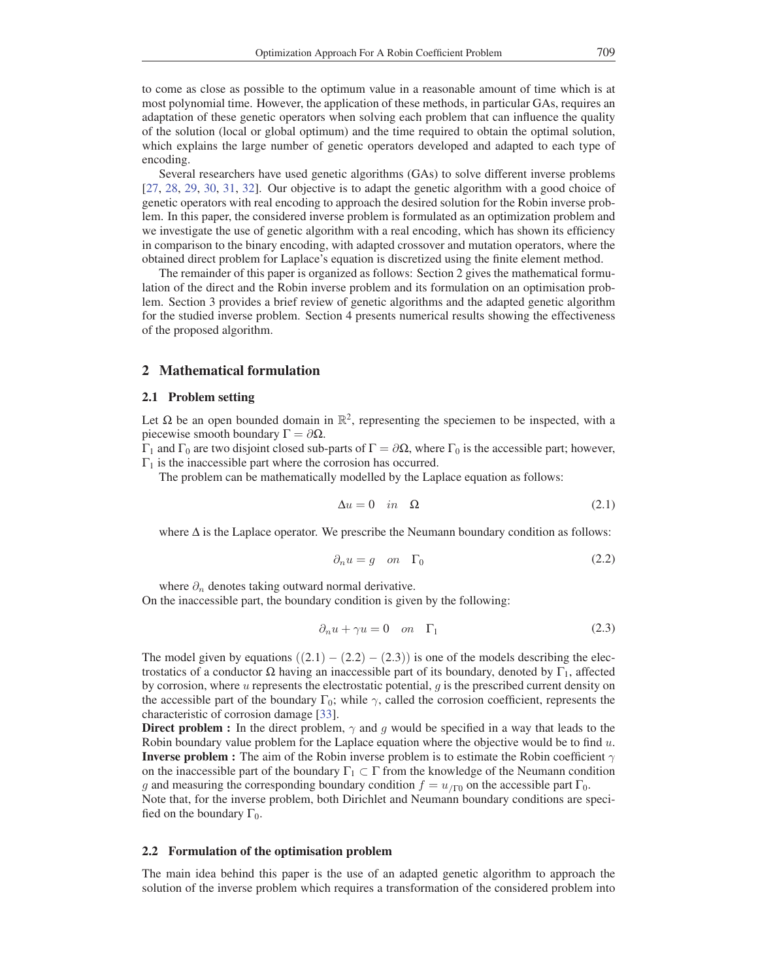to come as close as possible to the optimum value in a reasonable amount of time which is at most polynomial time. However, the application of these methods, in particular GAs, requires an adaptation of these genetic operators when solving each problem that can influence the quality of the solution (local or global optimum) and the time required to obtain the optimal solution, which explains the large number of genetic operators developed and adapted to each type of encoding.

Several researchers have used genetic algorithms (GAs) to solve different inverse problems [27, 28, 29, 30, 31, 32]. Our objective is to adapt the genetic algorithm with a good choice of genetic operators with real encoding to approach the desired solution for the Robin inverse problem. In this paper, the considered inverse problem is formulated as an optimization problem and we investigate the use of genetic algorithm with a real encoding, which has shown its efficiency in comparison to the binary encoding, with adapted crossover and mutation operators, where the obtained direct problem for Laplace's equation is discretized using the finite element method.

The remainder of this paper is organized as follows: Section 2 gives the mathematical formulation of the direct and the Robin inverse problem and its formulation on an optimisation problem. Section 3 provides a brief review of genetic algorithms and the adapted genetic algorithm for the studied inverse problem. Section 4 presents numerical results showing the effectiveness of the proposed algorithm.

## 2 Mathematical formulation

#### 2.1 Problem setting

Let  $\Omega$  be an open bounded domain in  $\mathbb{R}^2$ , representing the speciemen to be inspected, with a piecewise smooth boundary  $\Gamma = \partial \Omega$ .

 $Γ_1$  and  $Γ_0$  are two disjoint closed sub-parts of  $Γ = ∂Ω$ , where  $Γ_0$  is the accessible part; however,  $\Gamma_1$  is the inaccessible part where the corrosion has occurred.

The problem can be mathematically modelled by the Laplace equation as follows:

$$
\Delta u = 0 \quad in \quad \Omega \tag{2.1}
$$

where  $\Delta$  is the Laplace operator. We prescribe the Neumann boundary condition as follows:

$$
\partial_n u = g \quad on \quad \Gamma_0 \tag{2.2}
$$

where  $\partial_n$  denotes taking outward normal derivative.

On the inaccessible part, the boundary condition is given by the following:

$$
\partial_n u + \gamma u = 0 \quad on \quad \Gamma_1 \tag{2.3}
$$

The model given by equations  $((2.1) - (2.2) - (2.3))$  is one of the models describing the electrostatics of a conductor  $\Omega$  having an inaccessible part of its boundary, denoted by Γ<sub>1</sub>, affected by corrosion, where  $u$  represents the electrostatic potential,  $g$  is the prescribed current density on the accessible part of the boundary  $\Gamma_0$ ; while  $\gamma$ , called the corrosion coefficient, represents the characteristic of corrosion damage [33].

**Direct problem :** In the direct problem,  $\gamma$  and g would be specified in a way that leads to the Robin boundary value problem for the Laplace equation where the objective would be to find  $u$ . **Inverse problem :** The aim of the Robin inverse problem is to estimate the Robin coefficient  $\gamma$ on the inaccessible part of the boundary  $\Gamma_1 \subset \Gamma$  from the knowledge of the Neumann condition g and measuring the corresponding boundary condition  $f = u_{\text{IT0}}$  on the accessible part  $\Gamma_0$ .

Note that, for the inverse problem, both Dirichlet and Neumann boundary conditions are specified on the boundary  $\Gamma_0$ .

#### 2.2 Formulation of the optimisation problem

The main idea behind this paper is the use of an adapted genetic algorithm to approach the solution of the inverse problem which requires a transformation of the considered problem into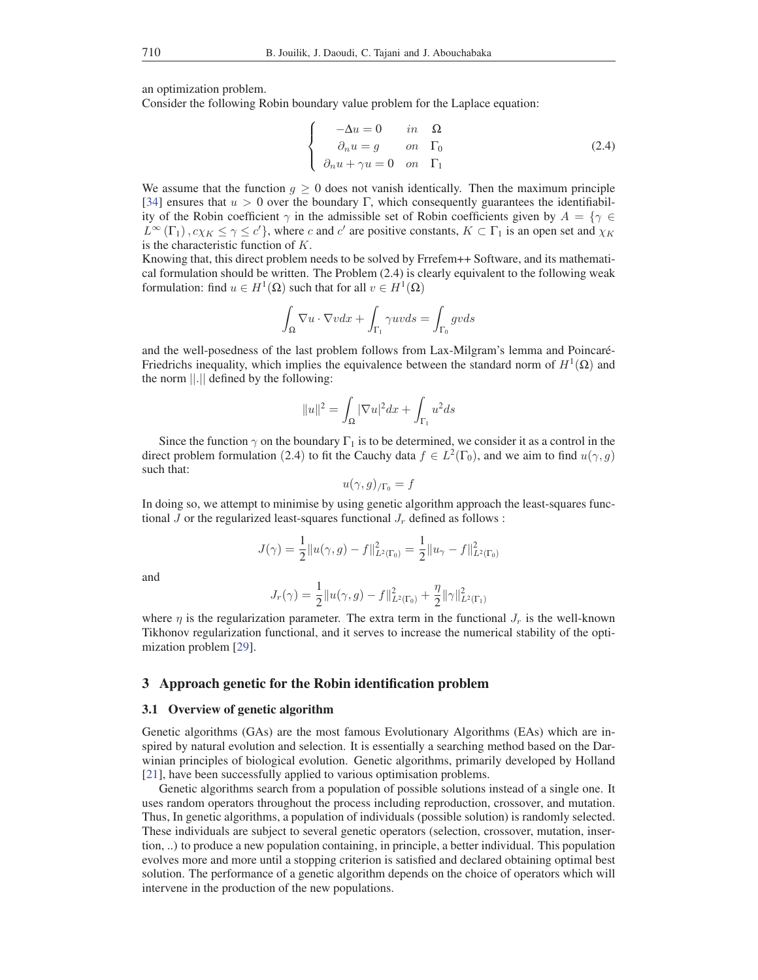an optimization problem.

Consider the following Robin boundary value problem for the Laplace equation:

$$
\begin{cases}\n-\Delta u = 0 & in \quad \Omega \\
\partial_n u = g & on \quad \Gamma_0 \\
\partial_n u + \gamma u = 0 & on \quad \Gamma_1\n\end{cases}
$$
\n(2.4)

We assume that the function  $g \ge 0$  does not vanish identically. Then the maximum principle [34] ensures that  $u > 0$  over the boundary Γ, which consequently guarantees the identifiability of the Robin coefficient  $\gamma$  in the admissible set of Robin coefficients given by  $A = \{ \gamma \in$  $L^{\infty}(\Gamma_1)$ ,  $c\chi_K \leq \gamma \leq c'$ , where c and c' are positive constants,  $K \subset \Gamma_1$  is an open set and  $\chi_K$ is the characteristic function of K.

Knowing that, this direct problem needs to be solved by Frrefem++ Software, and its mathematical formulation should be written. The Problem (2.4) is clearly equivalent to the following weak formulation: find  $u \in H^1(\Omega)$  such that for all  $v \in H^1(\Omega)$ 

$$
\int_{\Omega} \nabla u \cdot \nabla v dx + \int_{\Gamma_1} \gamma u v ds = \int_{\Gamma_0} g v ds
$$

and the well-posedness of the last problem follows from Lax-Milgram's lemma and Poincaré-Friedrichs inequality, which implies the equivalence between the standard norm of  $H^1(\Omega)$  and the norm ||.|| defined by the following:

$$
||u||^2 = \int_{\Omega} |\nabla u|^2 dx + \int_{\Gamma_1} u^2 ds
$$

Since the function  $\gamma$  on the boundary  $\Gamma_1$  is to be determined, we consider it as a control in the direct problem formulation (2.4) to fit the Cauchy data  $f \in L^2(\Gamma_0)$ , and we aim to find  $u(\gamma, g)$ such that:

$$
u(\gamma,g)_{/\Gamma_0}=f
$$

In doing so, we attempt to minimise by using genetic algorithm approach the least-squares functional J or the regularized least-squares functional  $J_r$  defined as follows :

$$
J(\gamma) = \frac{1}{2} ||u(\gamma, g) - f||_{L^2(\Gamma_0)}^2 = \frac{1}{2} ||u_\gamma - f||_{L^2(\Gamma_0)}^2
$$

and

$$
J_r(\gamma) = \frac{1}{2} ||u(\gamma, g) - f||^2_{L^2(\Gamma_0)} + \frac{\eta}{2} ||\gamma||^2_{L^2(\Gamma_1)}
$$

where  $\eta$  is the regularization parameter. The extra term in the functional  $J_r$  is the well-known Tikhonov regularization functional, and it serves to increase the numerical stability of the optimization problem [29].

## 3 Approach genetic for the Robin identification problem

#### 3.1 Overview of genetic algorithm

Genetic algorithms (GAs) are the most famous Evolutionary Algorithms (EAs) which are inspired by natural evolution and selection. It is essentially a searching method based on the Darwinian principles of biological evolution. Genetic algorithms, primarily developed by Holland [21], have been successfully applied to various optimisation problems.

Genetic algorithms search from a population of possible solutions instead of a single one. It uses random operators throughout the process including reproduction, crossover, and mutation. Thus, In genetic algorithms, a population of individuals (possible solution) is randomly selected. These individuals are subject to several genetic operators (selection, crossover, mutation, insertion, ..) to produce a new population containing, in principle, a better individual. This population evolves more and more until a stopping criterion is satisfied and declared obtaining optimal best solution. The performance of a genetic algorithm depends on the choice of operators which will intervene in the production of the new populations.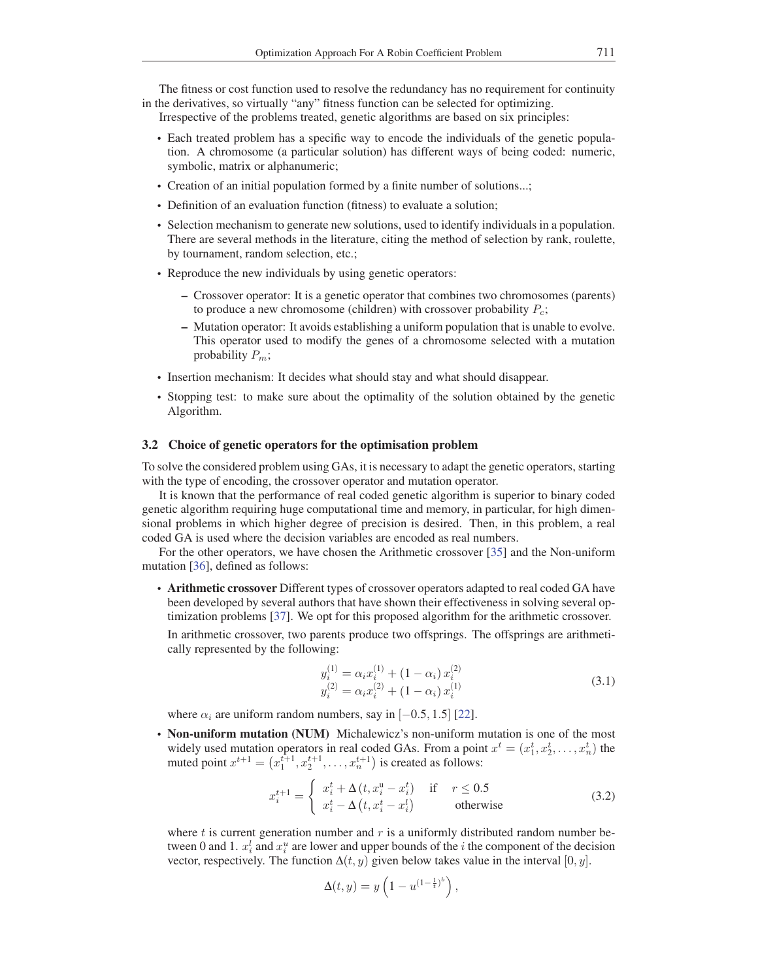The fitness or cost function used to resolve the redundancy has no requirement for continuity in the derivatives, so virtually "any" fitness function can be selected for optimizing.

- Irrespective of the problems treated, genetic algorithms are based on six principles:
- Each treated problem has a specific way to encode the individuals of the genetic population. A chromosome (a particular solution) has different ways of being coded: numeric, symbolic, matrix or alphanumeric;
- Creation of an initial population formed by a finite number of solutions...;
- Definition of an evaluation function (fitness) to evaluate a solution;
- Selection mechanism to generate new solutions, used to identify individuals in a population. There are several methods in the literature, citing the method of selection by rank, roulette, by tournament, random selection, etc.;
- Reproduce the new individuals by using genetic operators:
	- Crossover operator: It is a genetic operator that combines two chromosomes (parents) to produce a new chromosome (children) with crossover probability  $P_c$ ;
	- Mutation operator: It avoids establishing a uniform population that is unable to evolve. This operator used to modify the genes of a chromosome selected with a mutation probability  $P_m$ ;
- Insertion mechanism: It decides what should stay and what should disappear.
- Stopping test: to make sure about the optimality of the solution obtained by the genetic Algorithm.

## 3.2 Choice of genetic operators for the optimisation problem

To solve the considered problem using GAs, it is necessary to adapt the genetic operators, starting with the type of encoding, the crossover operator and mutation operator.

It is known that the performance of real coded genetic algorithm is superior to binary coded genetic algorithm requiring huge computational time and memory, in particular, for high dimensional problems in which higher degree of precision is desired. Then, in this problem, a real coded GA is used where the decision variables are encoded as real numbers.

For the other operators, we have chosen the Arithmetic crossover [35] and the Non-uniform mutation [36], defined as follows:

• Arithmetic crossover Different types of crossover operators adapted to real coded GA have been developed by several authors that have shown their effectiveness in solving several optimization problems [37]. We opt for this proposed algorithm for the arithmetic crossover. In arithmetic crossover, two parents produce two offsprings. The offsprings are arithmetically represented by the following:

$$
y_i^{(1)} = \alpha_i x_i^{(1)} + (1 - \alpha_i) x_i^{(2)}
$$
  
\n
$$
y_i^{(2)} = \alpha_i x_i^{(2)} + (1 - \alpha_i) x_i^{(1)}
$$
\n(3.1)

where  $\alpha_i$  are uniform random numbers, say in [−0.5, 1.5] [22].

• Non-uniform mutation (NUM) Michalewicz's non-uniform mutation is one of the most widely used mutation operators in real coded GAs. From a point  $x^t = (x_1^t, x_2^t, \dots, x_n^t)$  the<br>muted point  $x^{t+1} = (x^{t+1}, x^{t+1}, \dots, x^{t+1})$  is created as follows: muted point  $x^{t+1} = (x_1^{t+1}, x_2^{t+1}, \dots, x_n^{t+1})$  is created as follows:

$$
x_i^{t+1} = \begin{cases} x_i^t + \Delta(t, x_i^u - x_i^t) & \text{if } r \le 0.5\\ x_i^t - \Delta(t, x_i^t - x_i^t) & \text{otherwise} \end{cases}
$$
(3.2)

,

where t is current generation number and  $r$  is a uniformly distributed random number between 0 and 1.  $x_i^l$  and  $x_i^u$  are lower and upper bounds of the *i* the component of the decision vector respectively. The function  $\Delta(t, u)$  given below takes value in the interval [0, *u*] vector, respectively. The function  $\Delta(t, y)$  given below takes value in the interval  $[0, y]$ .

$$
\Delta(t, y) = y \left( 1 - u^{(1 - \frac{1}{t})^b} \right)
$$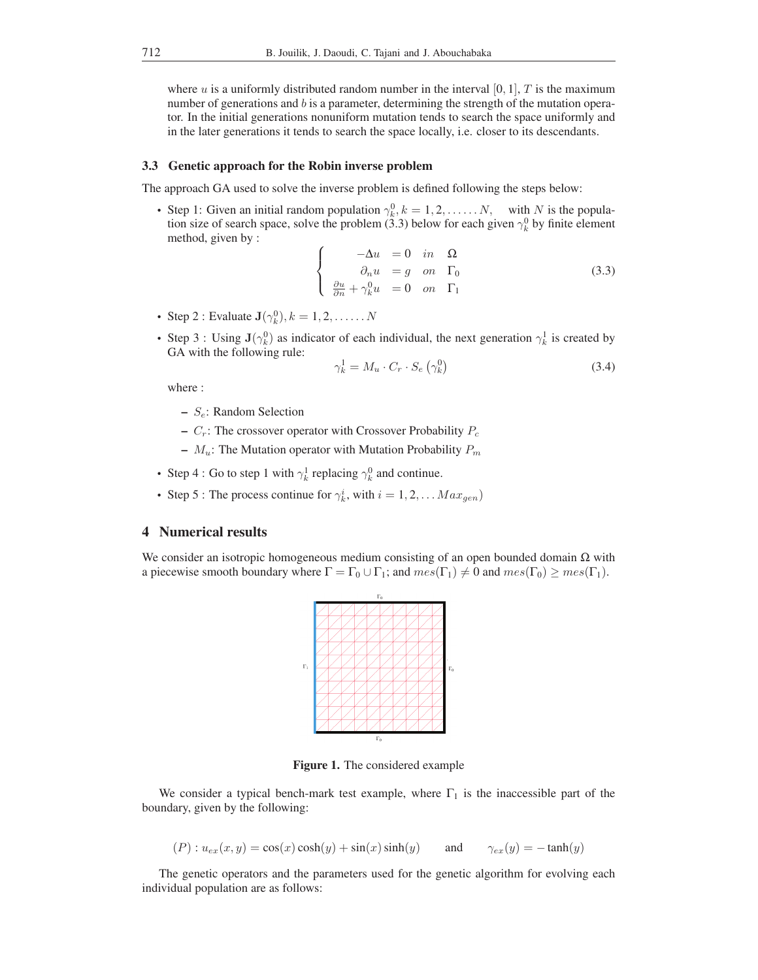where u is a uniformly distributed random number in the interval [0, 1], T is the maximum number of generations and b is a parameter, determining the strength of the mutation operator. In the initial generations nonuniform mutation tends to search the space uniformly and in the later generations it tends to search the space locally, i.e. closer to its descendants.

### 3.3 Genetic approach for the Robin inverse problem

The approach GA used to solve the inverse problem is defined following the steps below:

• Step 1: Given an initial random population  $\gamma_k^0$ ,  $k = 1, 2, \ldots, N$ , with N is the population size of search space, solve the problem (3.3) below for each given  $\gamma_k^0$  by finite element tion size of search space, solve the problem (3.3) below for each given  $\gamma_k^0$  by finite element method given by: method, given by :

$$
\begin{cases}\n-\Delta u = 0 & in \quad \Omega \\
\partial_n u = g & on \quad \Gamma_0 \\
\frac{\partial u}{\partial n} + \gamma_k^0 u = 0 & on \quad \Gamma_1\n\end{cases}
$$
\n(3.3)

- Step 2 : Evaluate  $\mathbf{J}(\gamma_k^0), k = 1, 2, \dots, N$
- Step 3 : Using  $\mathbf{J}(\gamma_k^0)$  as indicator of each individual, the next generation  $\gamma_k^1$  is created by GA with the following rule: GA with the following rule:

$$
\gamma_k^1 = M_u \cdot C_r \cdot S_e \left( \gamma_k^0 \right) \tag{3.4}
$$

where :

- $S_e$ : Random Selection
- $C_r$ : The crossover operator with Crossover Probability  $P_c$
- $M_u$ : The Mutation operator with Mutation Probability  $P_m$
- Step 4 : Go to step 1 with  $\gamma_k^1$  replacing  $\gamma_k^0$  and continue.
- Step 5 : The process continue for  $\gamma_k^i$ , with  $i = 1, 2, \dots Max_{gen}$

# 4 Numerical results

We consider an isotropic homogeneous medium consisting of an open bounded domain  $\Omega$  with a piecewise smooth boundary where  $\Gamma = \Gamma_0 \cup \Gamma_1$ ; and  $mes(\Gamma_1) \neq 0$  and  $mes(\Gamma_0) \geq mes(\Gamma_1)$ .



Figure 1. The considered example

We consider a typical bench-mark test example, where  $\Gamma_1$  is the inaccessible part of the boundary, given by the following:

$$
(P): u_{ex}(x, y) = \cos(x)\cosh(y) + \sin(x)\sinh(y) \quad \text{and} \quad \gamma_{ex}(y) = -\tanh(y)
$$

The genetic operators and the parameters used for the genetic algorithm for evolving each individual population are as follows: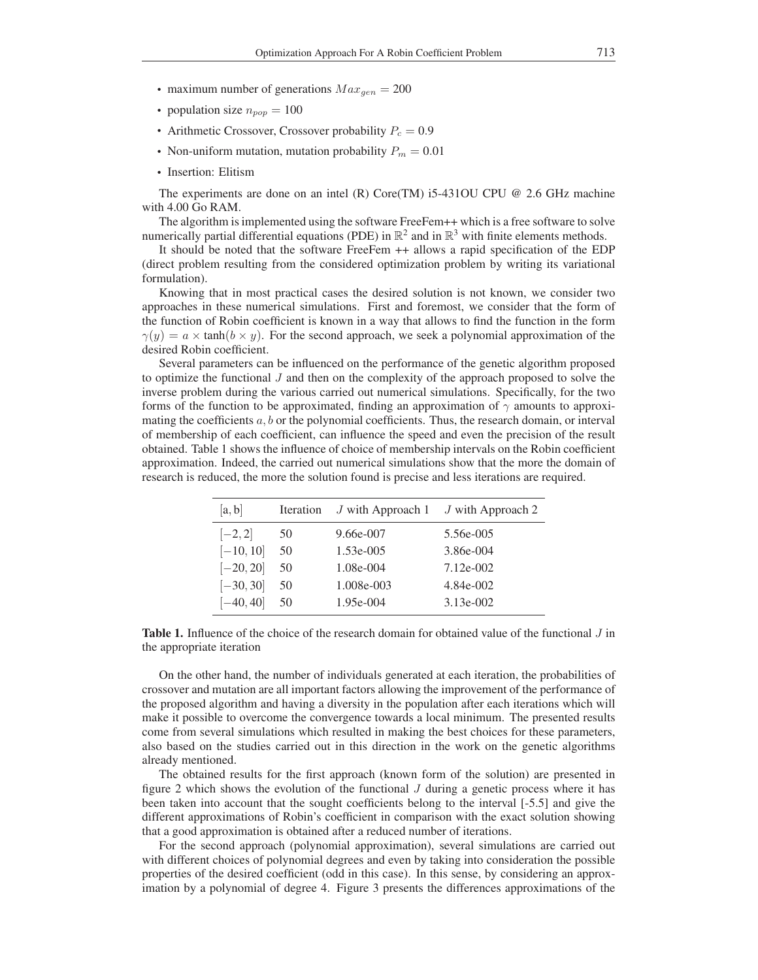- maximum number of generations  $Max_{gen} = 200$
- population size  $n_{pop} = 100$
- Arithmetic Crossover, Crossover probability  $P_c = 0.9$
- Non-uniform mutation, mutation probability  $P_m = 0.01$
- Insertion: Elitism

The experiments are done on an intel (R) Core(TM) i5-431OU CPU @ 2.6 GHz machine with 4.00 Go RAM.

The algorithm is implemented using the software FreeFem++ which is a free software to solve numerically partial differential equations (PDE) in  $\mathbb{R}^2$  and in  $\mathbb{R}^3$  with finite elements methods.

It should be noted that the software FreeFem ++ allows a rapid specification of the EDP (direct problem resulting from the considered optimization problem by writing its variational formulation).

Knowing that in most practical cases the desired solution is not known, we consider two approaches in these numerical simulations. First and foremost, we consider that the form of the function of Robin coefficient is known in a way that allows to find the function in the form  $\gamma(y) = a \times \tanh(b \times y)$ . For the second approach, we seek a polynomial approximation of the desired Robin coefficient.

Several parameters can be influenced on the performance of the genetic algorithm proposed to optimize the functional J and then on the complexity of the approach proposed to solve the inverse problem during the various carried out numerical simulations. Specifically, for the two forms of the function to be approximated, finding an approximation of  $\gamma$  amounts to approximating the coefficients  $a, b$  or the polynomial coefficients. Thus, the research domain, or interval of membership of each coefficient, can influence the speed and even the precision of the result obtained. Table 1 shows the influence of choice of membership intervals on the Robin coefficient approximation. Indeed, the carried out numerical simulations show that the more the domain of research is reduced, the more the solution found is precise and less iterations are required.

| [a, b]      | Iteration | J with Approach 1 | J with Approach 2 |
|-------------|-----------|-------------------|-------------------|
| $[-2, 2]$   | 50        | 9.66e-007         | 5.56e-005         |
| $[-10, 10]$ | 50        | $1.53e-005$       | 3.86e-004         |
| $[-20, 20]$ | 50        | 1.08e-004         | $7.12e-002$       |
| $[-30, 30]$ | 50        | 1.008e-003        | 4.84e-002         |
| $[-40, 40]$ | 50        | 1.95e-004         | $3.13e-002$       |

Table 1. Influence of the choice of the research domain for obtained value of the functional J in the appropriate iteration

On the other hand, the number of individuals generated at each iteration, the probabilities of crossover and mutation are all important factors allowing the improvement of the performance of the proposed algorithm and having a diversity in the population after each iterations which will make it possible to overcome the convergence towards a local minimum. The presented results come from several simulations which resulted in making the best choices for these parameters, also based on the studies carried out in this direction in the work on the genetic algorithms already mentioned.

The obtained results for the first approach (known form of the solution) are presented in figure 2 which shows the evolution of the functional  $J$  during a genetic process where it has been taken into account that the sought coefficients belong to the interval [-5.5] and give the different approximations of Robin's coefficient in comparison with the exact solution showing that a good approximation is obtained after a reduced number of iterations.

For the second approach (polynomial approximation), several simulations are carried out with different choices of polynomial degrees and even by taking into consideration the possible properties of the desired coefficient (odd in this case). In this sense, by considering an approximation by a polynomial of degree 4. Figure 3 presents the differences approximations of the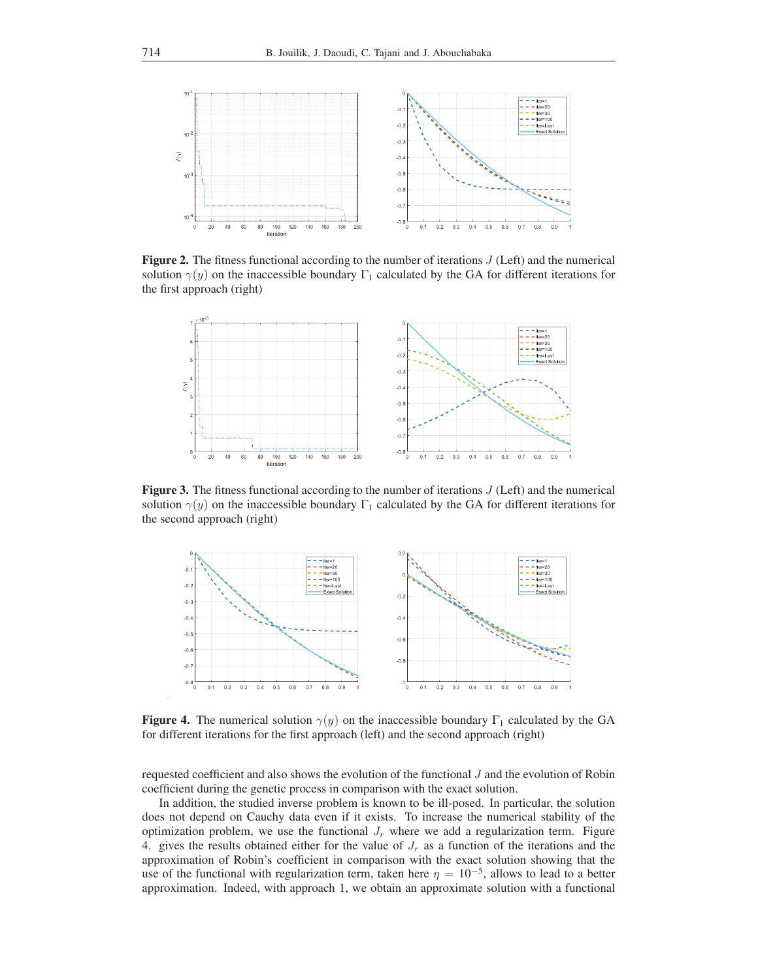

**Figure 2.** The fitness functional according to the number of iterations  $J$  (Left) and the numerical solution  $\gamma(y)$  on the inaccessible boundary  $\Gamma_1$  calculated by the GA for different iterations for the first approach (right)



**Figure 3.** The fitness functional according to the number of iterations  $J$  (Left) and the numerical solution  $\gamma(y)$  on the inaccessible boundary  $\Gamma_1$  calculated by the GA for different iterations for the second approach (right)



**Figure 4.** The numerical solution  $\gamma(y)$  on the inaccessible boundary  $\Gamma_1$  calculated by the GA for different iterations for the first approach (left) and the second approach (right)

requested coefficient and also shows the evolution of the functional J and the evolution of Robin coefficient during the genetic process in comparison with the exact solution.

In addition, the studied inverse problem is known to be ill-posed. In particular, the solution does not depend on Cauchy data even if it exists. To increase the numerical stability of the optimization problem, we use the functional  $J_r$  where we add a regularization term. Figure 4. gives the results obtained either for the value of  $J_r$  as a function of the iterations and the approximation of Robin's coefficient in comparison with the exact solution showing that the use of the functional with regularization term, taken here  $\eta = 10^{-5}$ , allows to lead to a better approximation. Indeed, with approach 1, we obtain an approximate solution with a functional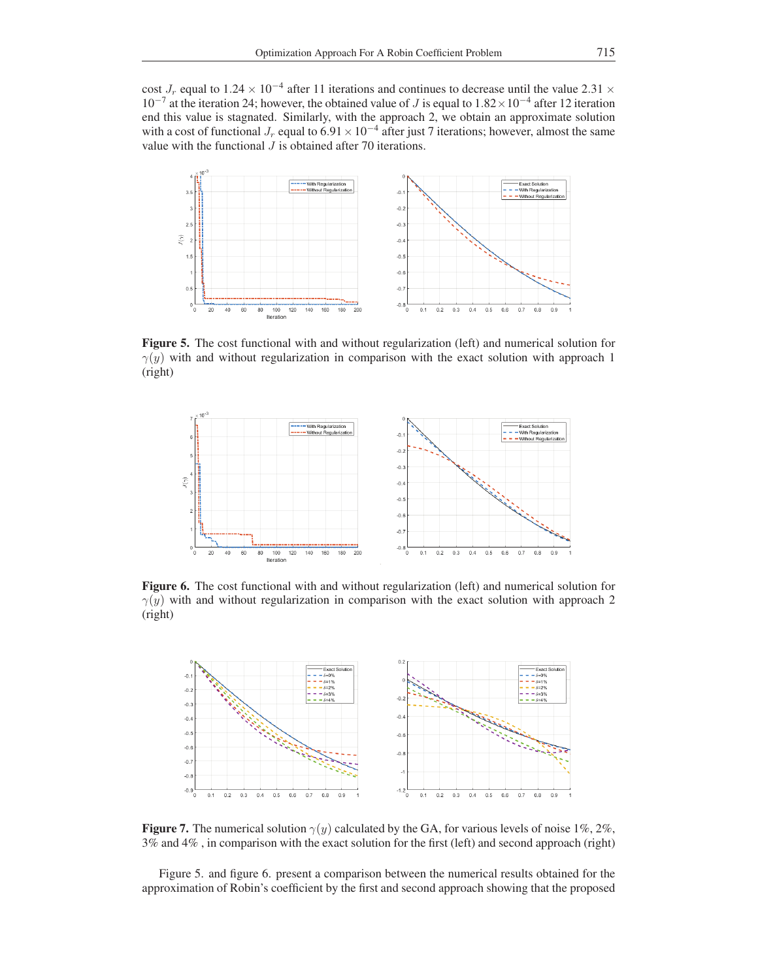cost  $J_r$  equal to  $1.24 \times 10^{-4}$  after 11 iterations and continues to decrease until the value 2.31  $\times$  $10^{-7}$  at the iteration 24; however, the obtained value of J is equal to  $1.82 \times 10^{-4}$  after 12 iteration end this value is stagnated. Similarly, with the approach 2, we obtain an approximate solution with a cost of functional  $J_r$  equal to 6.91 × 10<sup>-4</sup> after just 7 iterations; however, almost the same value with the functional  $J$  is obtained after 70 iterations.



Figure 5. The cost functional with and without regularization (left) and numerical solution for  $\gamma(y)$  with and without regularization in comparison with the exact solution with approach 1 (right)



Figure 6. The cost functional with and without regularization (left) and numerical solution for  $\gamma(y)$  with and without regularization in comparison with the exact solution with approach 2 (right)



**Figure 7.** The numerical solution  $\gamma(y)$  calculated by the GA, for various levels of noise 1%, 2%, 3% and 4% , in comparison with the exact solution for the first (left) and second approach (right)

Figure 5. and figure 6. present a comparison between the numerical results obtained for the approximation of Robin's coefficient by the first and second approach showing that the proposed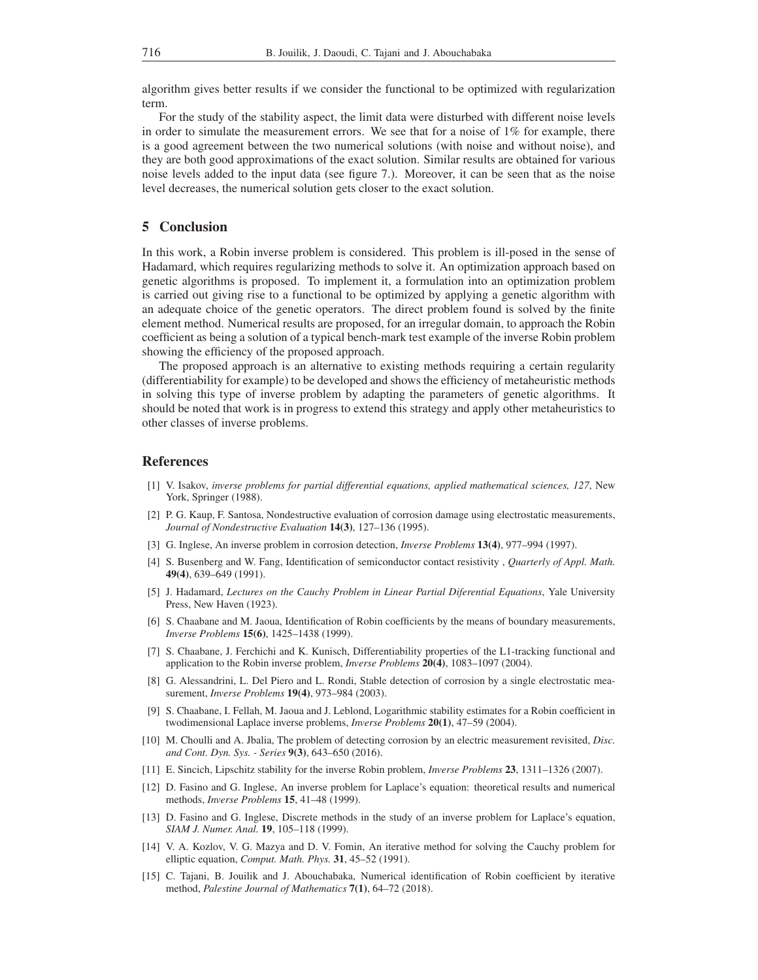algorithm gives better results if we consider the functional to be optimized with regularization term.

For the study of the stability aspect, the limit data were disturbed with different noise levels in order to simulate the measurement errors. We see that for a noise of 1% for example, there is a good agreement between the two numerical solutions (with noise and without noise), and they are both good approximations of the exact solution. Similar results are obtained for various noise levels added to the input data (see figure 7.). Moreover, it can be seen that as the noise level decreases, the numerical solution gets closer to the exact solution.

# 5 Conclusion

In this work, a Robin inverse problem is considered. This problem is ill-posed in the sense of Hadamard, which requires regularizing methods to solve it. An optimization approach based on genetic algorithms is proposed. To implement it, a formulation into an optimization problem is carried out giving rise to a functional to be optimized by applying a genetic algorithm with an adequate choice of the genetic operators. The direct problem found is solved by the finite element method. Numerical results are proposed, for an irregular domain, to approach the Robin coefficient as being a solution of a typical bench-mark test example of the inverse Robin problem showing the efficiency of the proposed approach.

The proposed approach is an alternative to existing methods requiring a certain regularity (differentiability for example) to be developed and shows the efficiency of metaheuristic methods in solving this type of inverse problem by adapting the parameters of genetic algorithms. It should be noted that work is in progress to extend this strategy and apply other metaheuristics to other classes of inverse problems.

## References

- [1] V. Isakov, *inverse problems for partial differential equations, applied mathematical sciences, 127*, New York, Springer (1988).
- [2] P. G. Kaup, F. Santosa, Nondestructive evaluation of corrosion damage using electrostatic measurements, *Journal of Nondestructive Evaluation* 14(3), 127–136 (1995).
- [3] G. Inglese, An inverse problem in corrosion detection, *Inverse Problems* 13(4), 977–994 (1997).
- [4] S. Busenberg and W. Fang, Identification of semiconductor contact resistivity , *Quarterly of Appl. Math.* 49(4), 639–649 (1991).
- [5] J. Hadamard, *Lectures on the Cauchy Problem in Linear Partial Diferential Equations*, Yale University Press, New Haven (1923).
- [6] S. Chaabane and M. Jaoua, Identification of Robin coefficients by the means of boundary measurements, *Inverse Problems* 15(6), 1425–1438 (1999).
- [7] S. Chaabane, J. Ferchichi and K. Kunisch, Differentiability properties of the L1-tracking functional and application to the Robin inverse problem, *Inverse Problems* 20(4), 1083–1097 (2004).
- [8] G. Alessandrini, L. Del Piero and L. Rondi, Stable detection of corrosion by a single electrostatic measurement, *Inverse Problems* 19(4), 973–984 (2003).
- [9] S. Chaabane, I. Fellah, M. Jaoua and J. Leblond, Logarithmic stability estimates for a Robin coefficient in twodimensional Laplace inverse problems, *Inverse Problems* 20(1), 47–59 (2004).
- [10] M. Choulli and A. Jbalia, The problem of detecting corrosion by an electric measurement revisited, *Disc. and Cont. Dyn. Sys. - Series* 9(3), 643–650 (2016).
- [11] E. Sincich, Lipschitz stability for the inverse Robin problem, *Inverse Problems* 23, 1311–1326 (2007).
- [12] D. Fasino and G. Inglese, An inverse problem for Laplace's equation: theoretical results and numerical methods, *Inverse Problems* 15, 41–48 (1999).
- [13] D. Fasino and G. Inglese, Discrete methods in the study of an inverse problem for Laplace's equation, *SIAM J. Numer. Anal.* 19, 105–118 (1999).
- [14] V. A. Kozlov, V. G. Mazya and D. V. Fomin, An iterative method for solving the Cauchy problem for elliptic equation, *Comput. Math. Phys.* 31, 45–52 (1991).
- [15] C. Tajani, B. Jouilik and J. Abouchabaka, Numerical identification of Robin coefficient by iterative method, *Palestine Journal of Mathematics* 7(1), 64–72 (2018).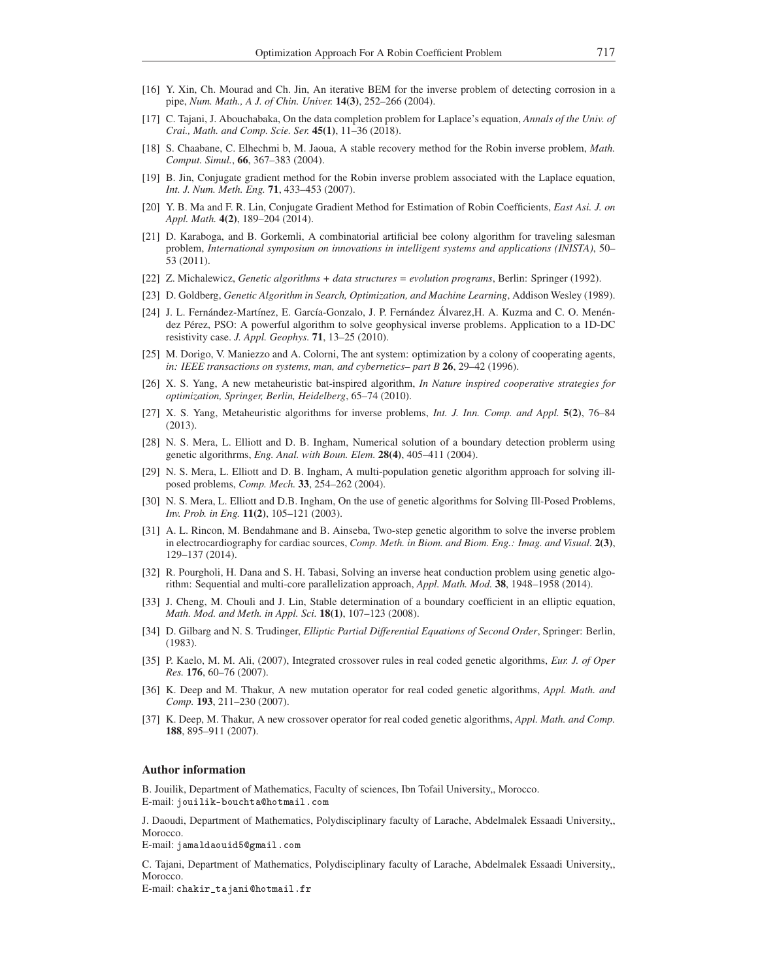- [16] Y. Xin, Ch. Mourad and Ch. Jin, An iterative BEM for the inverse problem of detecting corrosion in a pipe, *Num. Math., A J. of Chin. Univer.* 14(3), 252–266 (2004).
- [17] C. Tajani, J. Abouchabaka, On the data completion problem for Laplace's equation, *Annals of the Univ. of Crai., Math. and Comp. Scie. Ser.* 45(1), 11–36 (2018).
- [18] S. Chaabane, C. Elhechmi b, M. Jaoua, A stable recovery method for the Robin inverse problem, *Math. Comput. Simul.*, 66, 367–383 (2004).
- [19] B. Jin, Conjugate gradient method for the Robin inverse problem associated with the Laplace equation, *Int. J. Num. Meth. Eng.* 71, 433–453 (2007).
- [20] Y. B. Ma and F. R. Lin, Conjugate Gradient Method for Estimation of Robin Coefficients, *East Asi. J. on Appl. Math.* 4(2), 189–204 (2014).
- [21] D. Karaboga, and B. Gorkemli, A combinatorial artificial bee colony algorithm for traveling salesman problem, *International symposium on innovations in intelligent systems and applications (INISTA)*, 50– 53 (2011).
- [22] Z. Michalewicz, *Genetic algorithms + data structures = evolution programs*, Berlin: Springer (1992).
- [23] D. Goldberg, *Genetic Algorithm in Search, Optimization, and Machine Learning*, Addison Wesley (1989).
- [24] J. L. Fernández-Martínez, E. García-Gonzalo, J. P. Fernández Álvarez,H. A. Kuzma and C. O. Menéndez Pérez, PSO: A powerful algorithm to solve geophysical inverse problems. Application to a 1D-DC resistivity case. *J. Appl. Geophys.* 71, 13–25 (2010).
- [25] M. Dorigo, V. Maniezzo and A. Colorni, The ant system: optimization by a colony of cooperating agents, *in: IEEE transactions on systems, man, and cybernetics– part B* 26, 29–42 (1996).
- [26] X. S. Yang, A new metaheuristic bat-inspired algorithm, *In Nature inspired cooperative strategies for optimization, Springer, Berlin, Heidelberg*, 65–74 (2010).
- [27] X. S. Yang, Metaheuristic algorithms for inverse problems, *Int. J. Inn. Comp. and Appl.* 5(2), 76–84 (2013).
- [28] N. S. Mera, L. Elliott and D. B. Ingham, Numerical solution of a boundary detection problerm using genetic algorithrms, *Eng. Anal. with Boun. Elem.* 28(4), 405–411 (2004).
- [29] N. S. Mera, L. Elliott and D. B. Ingham, A multi-population genetic algorithm approach for solving illposed problems, *Comp. Mech.* 33, 254–262 (2004).
- [30] N. S. Mera, L. Elliott and D.B. Ingham, On the use of genetic algorithms for Solving Ill-Posed Problems, *Inv. Prob. in Eng.* 11(2), 105–121 (2003).
- [31] A. L. Rincon, M. Bendahmane and B. Ainseba, Two-step genetic algorithm to solve the inverse problem in electrocardiography for cardiac sources, *Comp. Meth. in Biom. and Biom. Eng.: Imag. and Visual.* 2(3), 129–137 (2014).
- [32] R. Pourgholi, H. Dana and S. H. Tabasi, Solving an inverse heat conduction problem using genetic algorithm: Sequential and multi-core parallelization approach, *Appl. Math. Mod.* 38, 1948–1958 (2014).
- [33] J. Cheng, M. Chouli and J. Lin, Stable determination of a boundary coefficient in an elliptic equation, *Math. Mod. and Meth. in Appl. Sci.* 18(1), 107–123 (2008).
- [34] D. Gilbarg and N. S. Trudinger, *Elliptic Partial Differential Equations of Second Order*, Springer: Berlin, (1983).
- [35] P. Kaelo, M. M. Ali, (2007), Integrated crossover rules in real coded genetic algorithms, *Eur. J. of Oper Res.* 176, 60–76 (2007).
- [36] K. Deep and M. Thakur, A new mutation operator for real coded genetic algorithms, *Appl. Math. and Comp.* 193, 211–230 (2007).
- [37] K. Deep, M. Thakur, A new crossover operator for real coded genetic algorithms, *Appl. Math. and Comp.* 188, 895–911 (2007).

#### Author information

B. Jouilik, Department of Mathematics, Faculty of sciences, Ibn Tofail University,, Morocco. E-mail: jouilik-bouchta@hotmail.com

J. Daoudi, Department of Mathematics, Polydisciplinary faculty of Larache, Abdelmalek Essaadi University,, Morocco.

 $\hbox{E-mail:}$  jamaldaouid $\hbox{5@gmail.com}$ 

C. Tajani, Department of Mathematics, Polydisciplinary faculty of Larache, Abdelmalek Essaadi University,, Morocco.

E-mail: chakir\_tajani@hotmail.fr